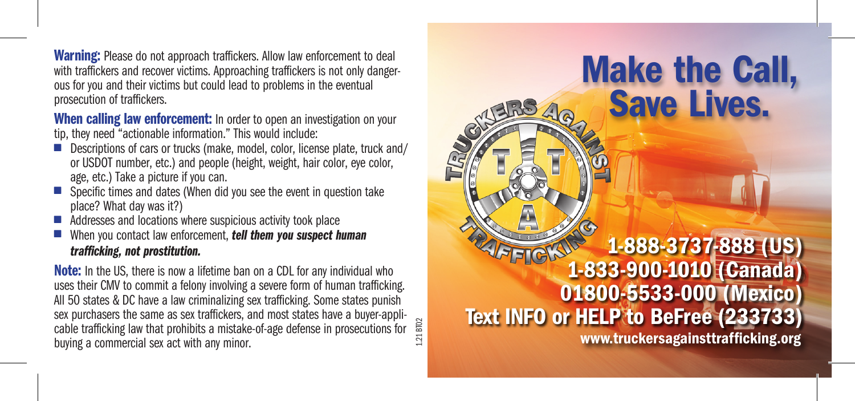Warning: Please do not approach traffickers. Allow law enforcement to deal with traffickers and recover victims. Approaching traffickers is not only dangerous for you and their victims but could lead to problems in the eventual prosecution of traffickers.

When calling law enforcement: In order to open an investigation on your tip, they need "actionable information." This would include:

- Descriptions of cars or trucks (make, model, color, license plate, truck and/ or USDOT number, etc.) and people (height, weight, hair color, eye color, age, etc.) Take a picture if you can.
- $\blacksquare$  Specific times and dates (When did you see the event in question take place? What day was it?)
- Addresses and locations where suspicious activity took place
- When you contact law enforcement, *tell them you suspect human trafficking, not prostitution.*

1.21 BT02 **Note:** In the US, there is now a lifetime ban on a CDL for any individual who uses their CMV to commit a felony involving a severe form of human trafficking. All 50 states & DC have a law criminalizing sex trafficking. Some states punish sex purchasers the same as sex traffickers, and most states have a buyer-applicable trafficking law that prohibits a mistake-of-age defense in prosecutions for buying a commercial sex act with any minor.